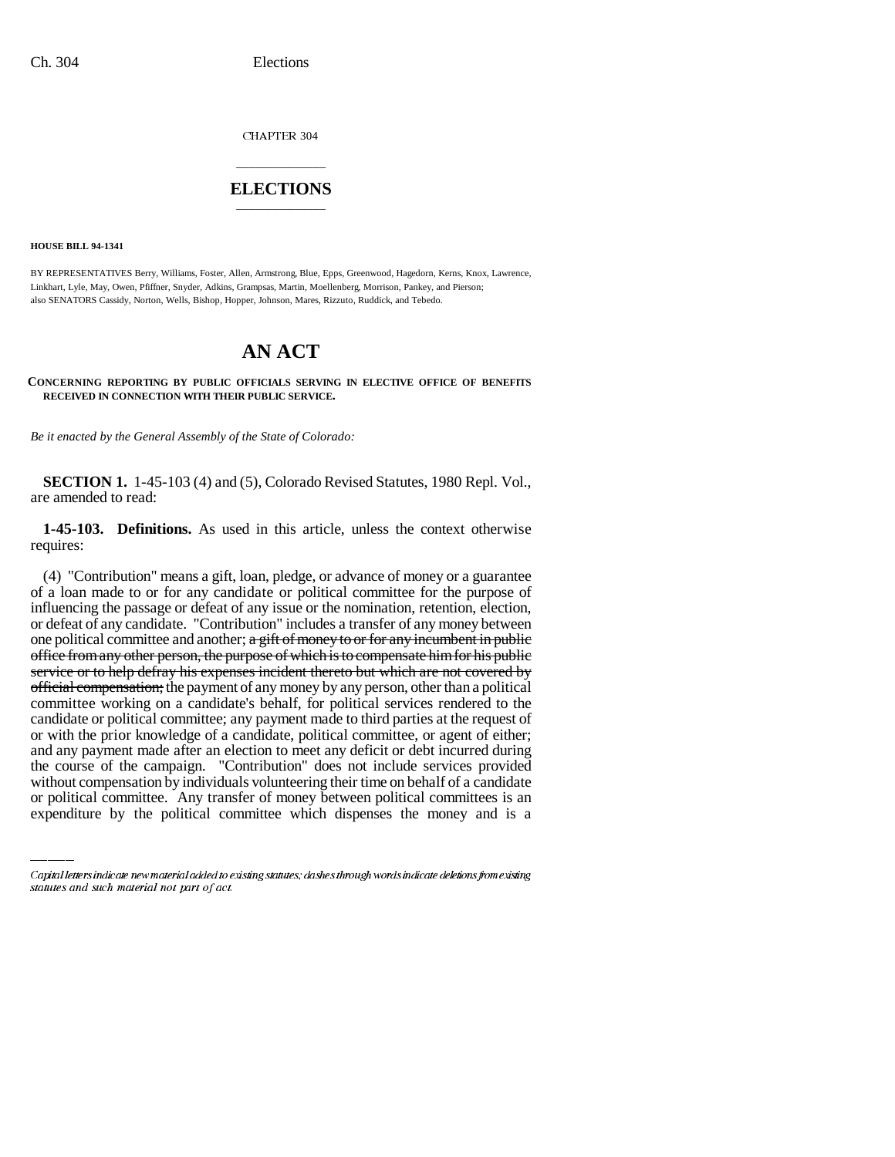CHAPTER 304

## \_\_\_\_\_\_\_\_\_\_\_\_\_\_\_ **ELECTIONS** \_\_\_\_\_\_\_\_\_\_\_\_\_\_\_

**HOUSE BILL 94-1341**

BY REPRESENTATIVES Berry, Williams, Foster, Allen, Armstrong, Blue, Epps, Greenwood, Hagedorn, Kerns, Knox, Lawrence, Linkhart, Lyle, May, Owen, Pfiffner, Snyder, Adkins, Grampsas, Martin, Moellenberg, Morrison, Pankey, and Pierson; also SENATORS Cassidy, Norton, Wells, Bishop, Hopper, Johnson, Mares, Rizzuto, Ruddick, and Tebedo.

# **AN ACT**

### **CONCERNING REPORTING BY PUBLIC OFFICIALS SERVING IN ELECTIVE OFFICE OF BENEFITS RECEIVED IN CONNECTION WITH THEIR PUBLIC SERVICE.**

*Be it enacted by the General Assembly of the State of Colorado:*

**SECTION 1.** 1-45-103 (4) and (5), Colorado Revised Statutes, 1980 Repl. Vol., are amended to read:

**1-45-103. Definitions.** As used in this article, unless the context otherwise requires:

and any payment made after an election to meet any deficit or debt incurred during (4) "Contribution" means a gift, loan, pledge, or advance of money or a guarantee of a loan made to or for any candidate or political committee for the purpose of influencing the passage or defeat of any issue or the nomination, retention, election, or defeat of any candidate. "Contribution" includes a transfer of any money between one political committee and another;  $a$  gift of money to or for any incumbent in public office from any other person, the purpose of which is to compensate him for his public service or to help defray his expenses incident thereto but which are not covered by official compensation; the payment of any money by any person, other than a political committee working on a candidate's behalf, for political services rendered to the candidate or political committee; any payment made to third parties at the request of or with the prior knowledge of a candidate, political committee, or agent of either; the course of the campaign. "Contribution" does not include services provided without compensation by individuals volunteering their time on behalf of a candidate or political committee. Any transfer of money between political committees is an expenditure by the political committee which dispenses the money and is a

Capital letters indicate new material added to existing statutes; dashes through words indicate deletions from existing statutes and such material not part of act.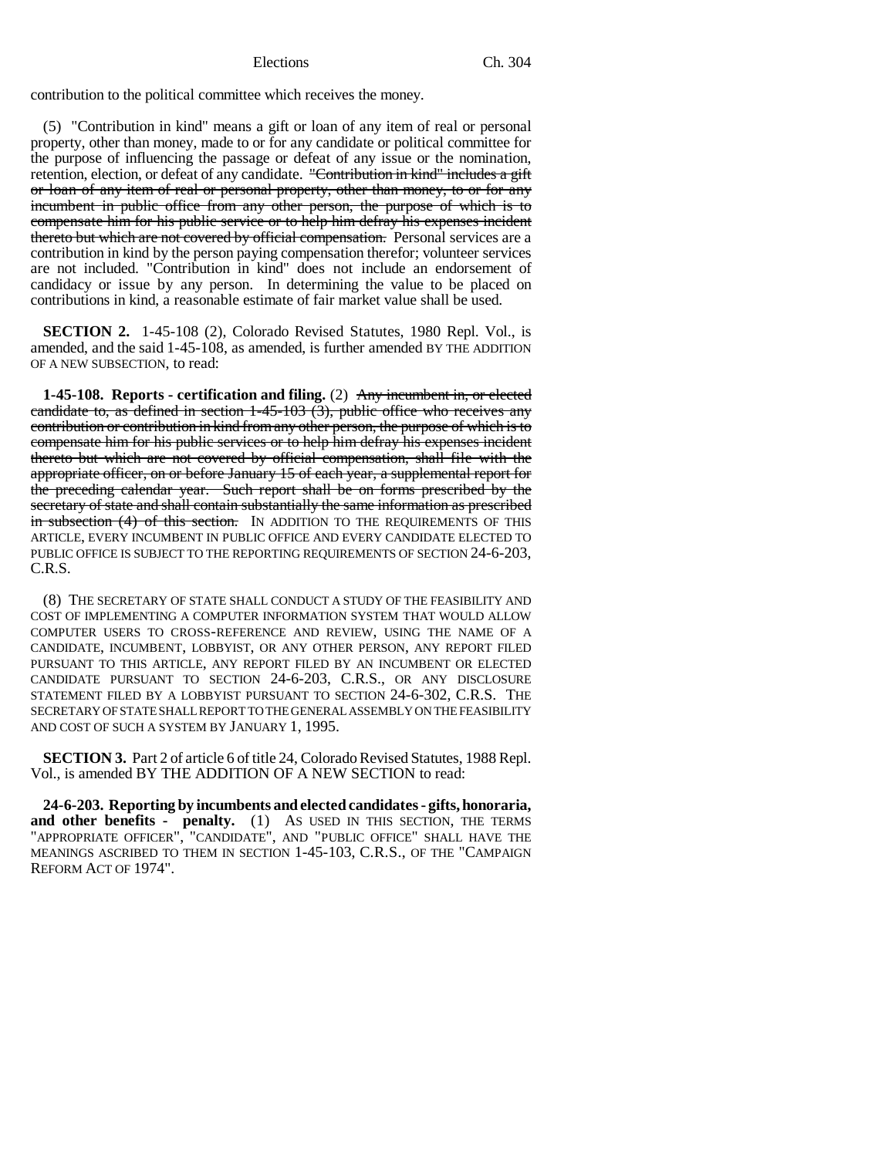### Elections Ch. 304

contribution to the political committee which receives the money.

(5) "Contribution in kind" means a gift or loan of any item of real or personal property, other than money, made to or for any candidate or political committee for the purpose of influencing the passage or defeat of any issue or the nomination, retention, election, or defeat of any candidate. "Contribution in kind" includes a gift or loan of any item of real or personal property, other than money, to or for any incumbent in public office from any other person, the purpose of which is to compensate him for his public service or to help him defray his expenses incident thereto but which are not covered by official compensation. Personal services are a contribution in kind by the person paying compensation therefor; volunteer services are not included. "Contribution in kind" does not include an endorsement of candidacy or issue by any person. In determining the value to be placed on contributions in kind, a reasonable estimate of fair market value shall be used.

**SECTION 2.** 1-45-108 (2), Colorado Revised Statutes, 1980 Repl. Vol., is amended, and the said 1-45-108, as amended, is further amended BY THE ADDITION OF A NEW SUBSECTION, to read:

**1-45-108. Reports - certification and filing.** (2) Any incumbent in, or elected candidate to, as defined in section  $1-45-103$  (3), public office who receives any contribution or contribution in kind from any other person, the purpose of which is to compensate him for his public services or to help him defray his expenses incident thereto but which are not covered by official compensation, shall file with the appropriate officer, on or before January 15 of each year, a supplemental report for the preceding calendar year. Such report shall be on forms prescribed by the secretary of state and shall contain substantially the same information as prescribed in subsection (4) of this section. IN ADDITION TO THE REQUIREMENTS OF THIS ARTICLE, EVERY INCUMBENT IN PUBLIC OFFICE AND EVERY CANDIDATE ELECTED TO PUBLIC OFFICE IS SUBJECT TO THE REPORTING REQUIREMENTS OF SECTION 24-6-203, C.R.S.

(8) THE SECRETARY OF STATE SHALL CONDUCT A STUDY OF THE FEASIBILITY AND COST OF IMPLEMENTING A COMPUTER INFORMATION SYSTEM THAT WOULD ALLOW COMPUTER USERS TO CROSS-REFERENCE AND REVIEW, USING THE NAME OF A CANDIDATE, INCUMBENT, LOBBYIST, OR ANY OTHER PERSON, ANY REPORT FILED PURSUANT TO THIS ARTICLE, ANY REPORT FILED BY AN INCUMBENT OR ELECTED CANDIDATE PURSUANT TO SECTION 24-6-203, C.R.S., OR ANY DISCLOSURE STATEMENT FILED BY A LOBBYIST PURSUANT TO SECTION 24-6-302, C.R.S. THE SECRETARY OF STATE SHALL REPORT TO THE GENERAL ASSEMBLY ON THE FEASIBILITY AND COST OF SUCH A SYSTEM BY JANUARY 1, 1995.

**SECTION 3.** Part 2 of article 6 of title 24, Colorado Revised Statutes, 1988 Repl. Vol., is amended BY THE ADDITION OF A NEW SECTION to read:

**24-6-203. Reporting by incumbents and elected candidates - gifts, honoraria,** and other benefits - penalty. (1) As USED IN THIS SECTION, THE TERMS "APPROPRIATE OFFICER", "CANDIDATE", AND "PUBLIC OFFICE" SHALL HAVE THE MEANINGS ASCRIBED TO THEM IN SECTION 1-45-103, C.R.S., OF THE "CAMPAIGN REFORM ACT OF 1974".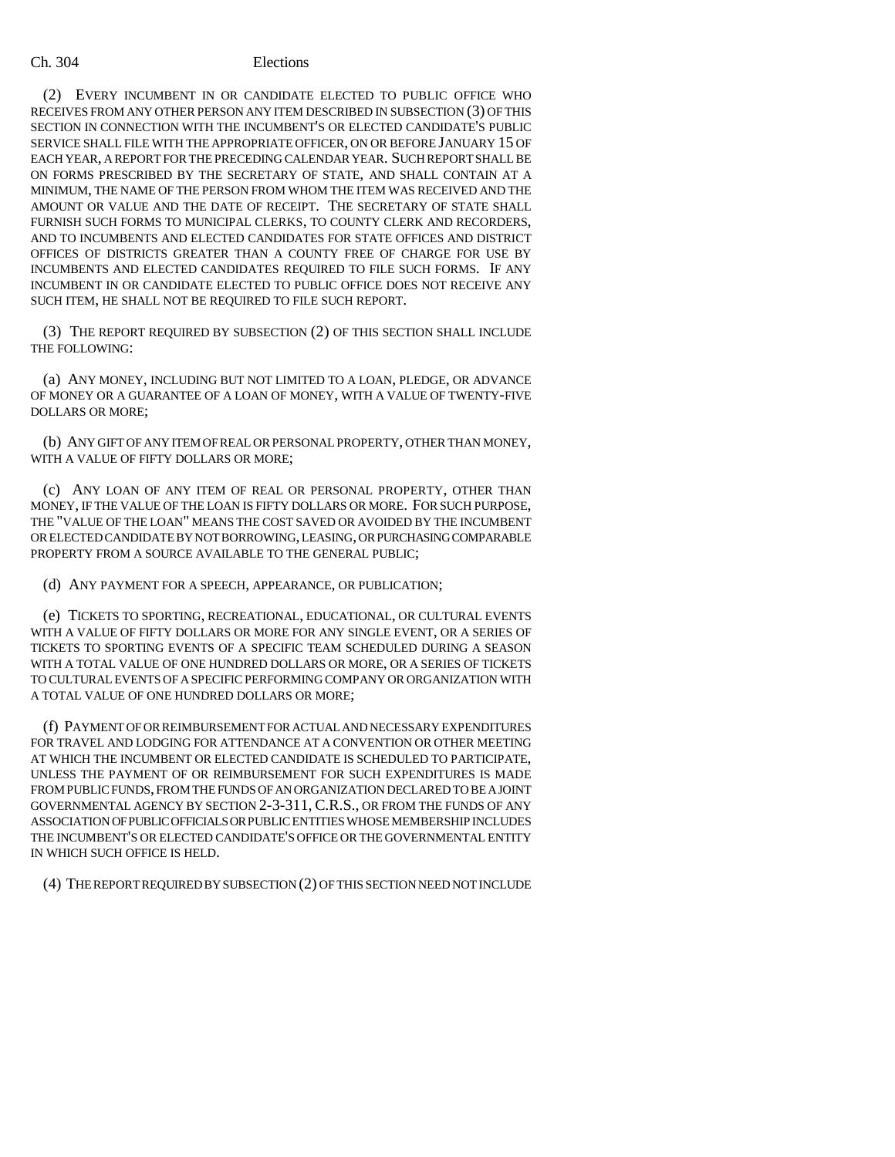### Ch. 304 Elections

(2) EVERY INCUMBENT IN OR CANDIDATE ELECTED TO PUBLIC OFFICE WHO RECEIVES FROM ANY OTHER PERSON ANY ITEM DESCRIBED IN SUBSECTION (3) OF THIS SECTION IN CONNECTION WITH THE INCUMBENT'S OR ELECTED CANDIDATE'S PUBLIC SERVICE SHALL FILE WITH THE APPROPRIATE OFFICER, ON OR BEFORE JANUARY 15 OF EACH YEAR, A REPORT FOR THE PRECEDING CALENDAR YEAR. SUCH REPORT SHALL BE ON FORMS PRESCRIBED BY THE SECRETARY OF STATE, AND SHALL CONTAIN AT A MINIMUM, THE NAME OF THE PERSON FROM WHOM THE ITEM WAS RECEIVED AND THE AMOUNT OR VALUE AND THE DATE OF RECEIPT. THE SECRETARY OF STATE SHALL FURNISH SUCH FORMS TO MUNICIPAL CLERKS, TO COUNTY CLERK AND RECORDERS, AND TO INCUMBENTS AND ELECTED CANDIDATES FOR STATE OFFICES AND DISTRICT OFFICES OF DISTRICTS GREATER THAN A COUNTY FREE OF CHARGE FOR USE BY INCUMBENTS AND ELECTED CANDIDATES REQUIRED TO FILE SUCH FORMS. IF ANY INCUMBENT IN OR CANDIDATE ELECTED TO PUBLIC OFFICE DOES NOT RECEIVE ANY SUCH ITEM, HE SHALL NOT BE REQUIRED TO FILE SUCH REPORT.

(3) THE REPORT REQUIRED BY SUBSECTION (2) OF THIS SECTION SHALL INCLUDE THE FOLLOWING:

(a) ANY MONEY, INCLUDING BUT NOT LIMITED TO A LOAN, PLEDGE, OR ADVANCE OF MONEY OR A GUARANTEE OF A LOAN OF MONEY, WITH A VALUE OF TWENTY-FIVE DOLLARS OR MORE;

(b) ANY GIFT OF ANY ITEM OF REAL OR PERSONAL PROPERTY, OTHER THAN MONEY, WITH A VALUE OF FIFTY DOLLARS OR MORE;

(c) ANY LOAN OF ANY ITEM OF REAL OR PERSONAL PROPERTY, OTHER THAN MONEY, IF THE VALUE OF THE LOAN IS FIFTY DOLLARS OR MORE. FOR SUCH PURPOSE, THE "VALUE OF THE LOAN" MEANS THE COST SAVED OR AVOIDED BY THE INCUMBENT OR ELECTED CANDIDATE BY NOT BORROWING, LEASING, OR PURCHASING COMPARABLE PROPERTY FROM A SOURCE AVAILABLE TO THE GENERAL PUBLIC;

(d) ANY PAYMENT FOR A SPEECH, APPEARANCE, OR PUBLICATION;

(e) TICKETS TO SPORTING, RECREATIONAL, EDUCATIONAL, OR CULTURAL EVENTS WITH A VALUE OF FIFTY DOLLARS OR MORE FOR ANY SINGLE EVENT, OR A SERIES OF TICKETS TO SPORTING EVENTS OF A SPECIFIC TEAM SCHEDULED DURING A SEASON WITH A TOTAL VALUE OF ONE HUNDRED DOLLARS OR MORE, OR A SERIES OF TICKETS TO CULTURAL EVENTS OF A SPECIFIC PERFORMING COMPANY OR ORGANIZATION WITH A TOTAL VALUE OF ONE HUNDRED DOLLARS OR MORE;

(f) PAYMENT OF OR REIMBURSEMENT FOR ACTUAL AND NECESSARY EXPENDITURES FOR TRAVEL AND LODGING FOR ATTENDANCE AT A CONVENTION OR OTHER MEETING AT WHICH THE INCUMBENT OR ELECTED CANDIDATE IS SCHEDULED TO PARTICIPATE, UNLESS THE PAYMENT OF OR REIMBURSEMENT FOR SUCH EXPENDITURES IS MADE FROM PUBLIC FUNDS, FROM THE FUNDS OF AN ORGANIZATION DECLARED TO BE A JOINT GOVERNMENTAL AGENCY BY SECTION 2-3-311, C.R.S., OR FROM THE FUNDS OF ANY ASSOCIATION OF PUBLIC OFFICIALS OR PUBLIC ENTITIES WHOSE MEMBERSHIP INCLUDES THE INCUMBENT'S OR ELECTED CANDIDATE'S OFFICE OR THE GOVERNMENTAL ENTITY IN WHICH SUCH OFFICE IS HELD.

(4) THE REPORT REQUIRED BY SUBSECTION (2) OF THIS SECTION NEED NOT INCLUDE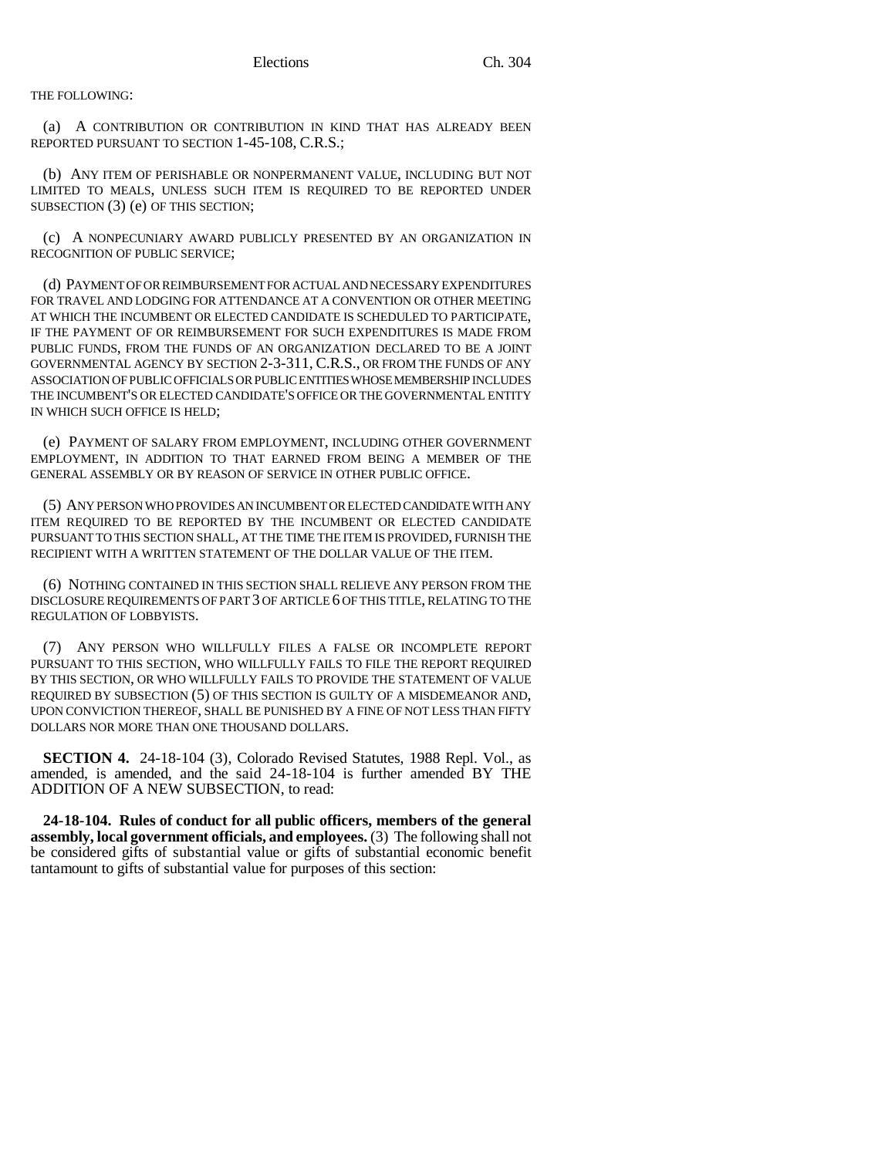THE FOLLOWING:

(a) A CONTRIBUTION OR CONTRIBUTION IN KIND THAT HAS ALREADY BEEN REPORTED PURSUANT TO SECTION 1-45-108, C.R.S.;

(b) ANY ITEM OF PERISHABLE OR NONPERMANENT VALUE, INCLUDING BUT NOT LIMITED TO MEALS, UNLESS SUCH ITEM IS REQUIRED TO BE REPORTED UNDER SUBSECTION (3) (e) OF THIS SECTION;

(c) A NONPECUNIARY AWARD PUBLICLY PRESENTED BY AN ORGANIZATION IN RECOGNITION OF PUBLIC SERVICE;

(d) PAYMENT OF OR REIMBURSEMENT FOR ACTUAL AND NECESSARY EXPENDITURES FOR TRAVEL AND LODGING FOR ATTENDANCE AT A CONVENTION OR OTHER MEETING AT WHICH THE INCUMBENT OR ELECTED CANDIDATE IS SCHEDULED TO PARTICIPATE, IF THE PAYMENT OF OR REIMBURSEMENT FOR SUCH EXPENDITURES IS MADE FROM PUBLIC FUNDS, FROM THE FUNDS OF AN ORGANIZATION DECLARED TO BE A JOINT GOVERNMENTAL AGENCY BY SECTION 2-3-311, C.R.S., OR FROM THE FUNDS OF ANY ASSOCIATION OF PUBLIC OFFICIALS OR PUBLIC ENTITIES WHOSE MEMBERSHIP INCLUDES THE INCUMBENT'S OR ELECTED CANDIDATE'S OFFICE OR THE GOVERNMENTAL ENTITY IN WHICH SUCH OFFICE IS HELD;

(e) PAYMENT OF SALARY FROM EMPLOYMENT, INCLUDING OTHER GOVERNMENT EMPLOYMENT, IN ADDITION TO THAT EARNED FROM BEING A MEMBER OF THE GENERAL ASSEMBLY OR BY REASON OF SERVICE IN OTHER PUBLIC OFFICE.

(5) ANY PERSON WHO PROVIDES AN INCUMBENT OR ELECTED CANDIDATE WITH ANY ITEM REQUIRED TO BE REPORTED BY THE INCUMBENT OR ELECTED CANDIDATE PURSUANT TO THIS SECTION SHALL, AT THE TIME THE ITEM IS PROVIDED, FURNISH THE RECIPIENT WITH A WRITTEN STATEMENT OF THE DOLLAR VALUE OF THE ITEM.

(6) NOTHING CONTAINED IN THIS SECTION SHALL RELIEVE ANY PERSON FROM THE DISCLOSURE REQUIREMENTS OF PART 3 OF ARTICLE 6 OF THIS TITLE, RELATING TO THE REGULATION OF LOBBYISTS.

(7) ANY PERSON WHO WILLFULLY FILES A FALSE OR INCOMPLETE REPORT PURSUANT TO THIS SECTION, WHO WILLFULLY FAILS TO FILE THE REPORT REQUIRED BY THIS SECTION, OR WHO WILLFULLY FAILS TO PROVIDE THE STATEMENT OF VALUE REQUIRED BY SUBSECTION (5) OF THIS SECTION IS GUILTY OF A MISDEMEANOR AND, UPON CONVICTION THEREOF, SHALL BE PUNISHED BY A FINE OF NOT LESS THAN FIFTY DOLLARS NOR MORE THAN ONE THOUSAND DOLLARS.

**SECTION 4.** 24-18-104 (3), Colorado Revised Statutes, 1988 Repl. Vol., as amended, is amended, and the said 24-18-104 is further amended BY THE ADDITION OF A NEW SUBSECTION, to read:

**24-18-104. Rules of conduct for all public officers, members of the general assembly, local government officials, and employees.** (3) The following shall not be considered gifts of substantial value or gifts of substantial economic benefit tantamount to gifts of substantial value for purposes of this section: